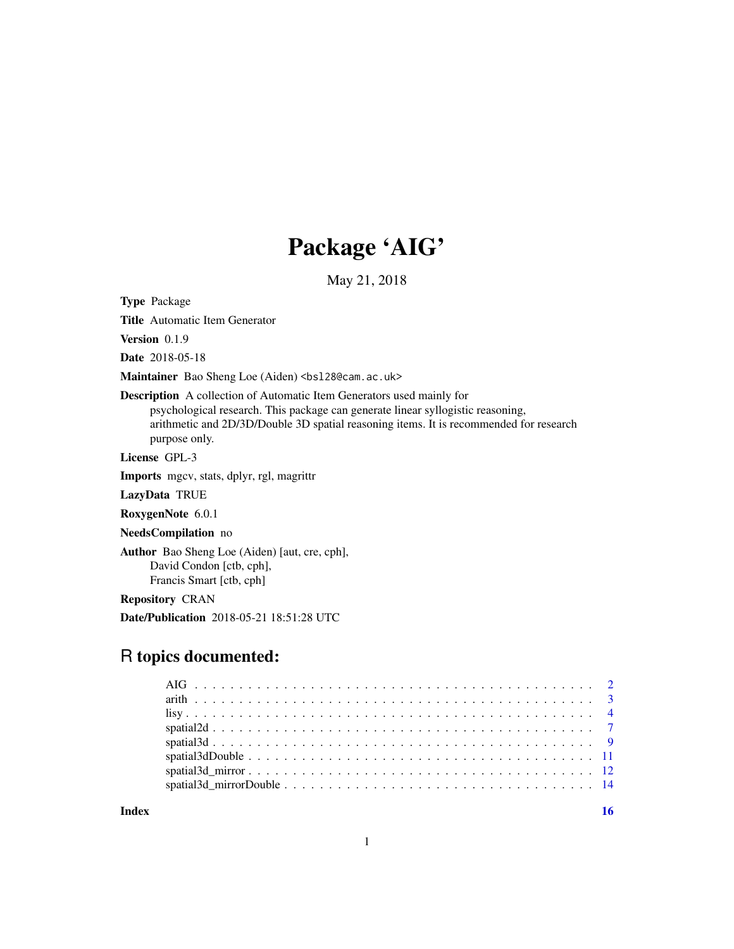## Package 'AIG'

May 21, 2018

Type Package

Title Automatic Item Generator

Version 0.1.9

Date 2018-05-18

Maintainer Bao Sheng Loe (Aiden) <br/>bs128@cam.ac.uk>

Description A collection of Automatic Item Generators used mainly for psychological research. This package can generate linear syllogistic reasoning, arithmetic and 2D/3D/Double 3D spatial reasoning items. It is recommended for research purpose only.

License GPL-3

Imports mgcv, stats, dplyr, rgl, magrittr

LazyData TRUE

RoxygenNote 6.0.1

NeedsCompilation no

Author Bao Sheng Loe (Aiden) [aut, cre, cph], David Condon [ctb, cph], Francis Smart [ctb, cph]

Repository CRAN

Date/Publication 2018-05-21 18:51:28 UTC

### R topics documented:

**Index** the contract of the contract of the contract of the contract of the contract of the contract of the contract of the contract of the contract of the contract of the contract of the contract of the contract of the co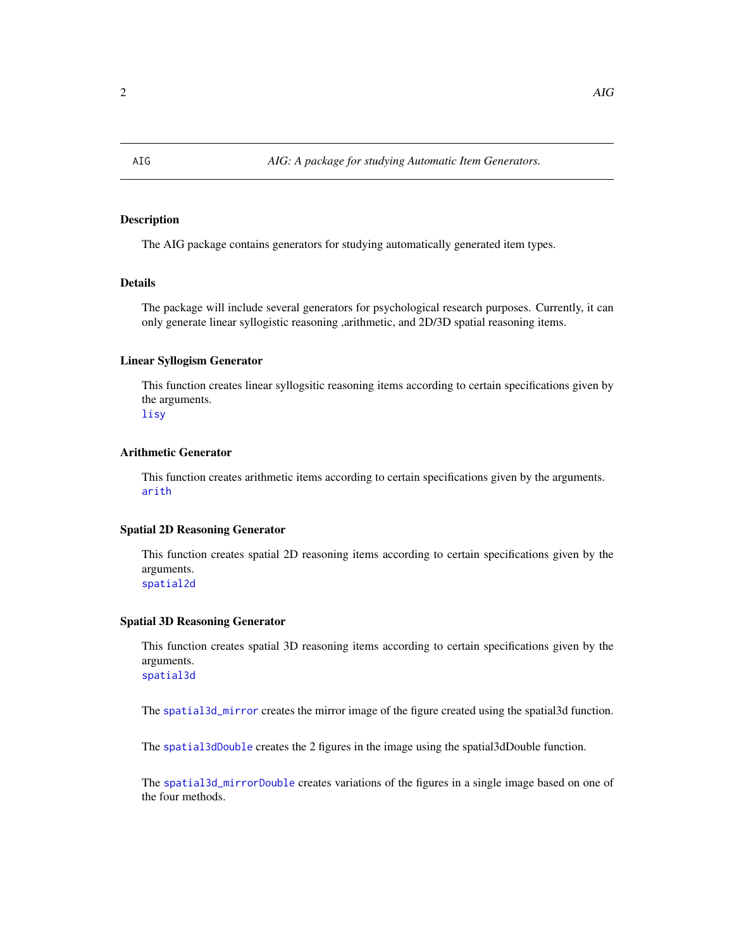#### <span id="page-1-0"></span>Description

The AIG package contains generators for studying automatically generated item types.

#### Details

The package will include several generators for psychological research purposes. Currently, it can only generate linear syllogistic reasoning ,arithmetic, and 2D/3D spatial reasoning items.

#### Linear Syllogism Generator

This function creates linear syllogsitic reasoning items according to certain specifications given by the arguments.

[lisy](#page-3-1)

#### Arithmetic Generator

This function creates arithmetic items according to certain specifications given by the arguments. [arith](#page-2-1)

#### Spatial 2D Reasoning Generator

This function creates spatial 2D reasoning items according to certain specifications given by the arguments. [spatial2d](#page-6-1)

#### Spatial 3D Reasoning Generator

This function creates spatial 3D reasoning items according to certain specifications given by the arguments. [spatial3d](#page-8-1)

The [spatial3d\\_mirror](#page-11-1) creates the mirror image of the figure created using the spatial3d function.

The [spatial3dDouble](#page-10-1) creates the 2 figures in the image using the spatial3dDouble function.

The [spatial3d\\_mirrorDouble](#page-13-1) creates variations of the figures in a single image based on one of the four methods.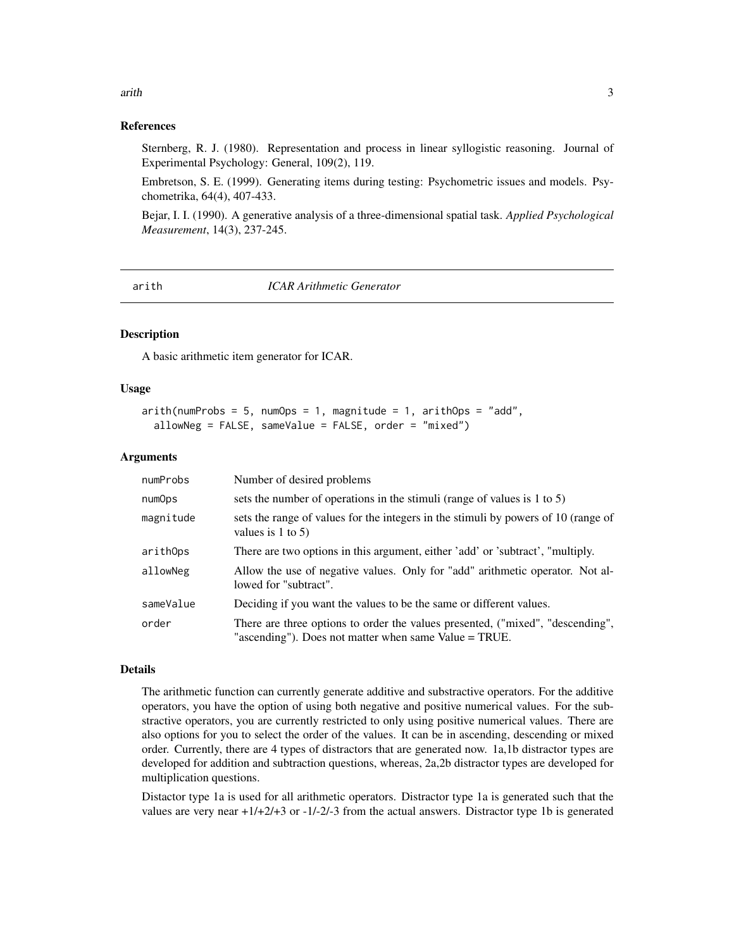#### References

Sternberg, R. J. (1980). Representation and process in linear syllogistic reasoning. Journal of Experimental Psychology: General, 109(2), 119.

Embretson, S. E. (1999). Generating items during testing: Psychometric issues and models. Psychometrika, 64(4), 407-433.

Bejar, I. I. (1990). A generative analysis of a three-dimensional spatial task. *Applied Psychological Measurement*, 14(3), 237-245.

<span id="page-2-1"></span>arith *ICAR Arithmetic Generator*

#### Description

A basic arithmetic item generator for ICAR.

#### Usage

```
arith(numProbs = 5, numOps = 1, magnitude = 1, arithOps = "add",allowNeg = FALSE, sameValue = FALSE, order = "mixed")
```
#### Arguments

| numProbs  | Number of desired problems                                                                                                              |
|-----------|-----------------------------------------------------------------------------------------------------------------------------------------|
| numOps    | sets the number of operations in the stimuli (range of values is 1 to 5)                                                                |
| magnitude | sets the range of values for the integers in the stimuli by powers of 10 (range of<br>values is $1$ to $5$ )                            |
| arithOps  | There are two options in this argument, either 'add' or 'subtract', "multiply.                                                          |
| allowNeg  | Allow the use of negative values. Only for "add" arithmetic operator. Not al-<br>lowed for "subtract".                                  |
| sameValue | Deciding if you want the values to be the same or different values.                                                                     |
| order     | There are three options to order the values presented, ("mixed", "descending",<br>"ascending"). Does not matter when same Value = TRUE. |

#### Details

The arithmetic function can currently generate additive and substractive operators. For the additive operators, you have the option of using both negative and positive numerical values. For the substractive operators, you are currently restricted to only using positive numerical values. There are also options for you to select the order of the values. It can be in ascending, descending or mixed order. Currently, there are 4 types of distractors that are generated now. 1a,1b distractor types are developed for addition and subtraction questions, whereas, 2a,2b distractor types are developed for multiplication questions.

Distactor type 1a is used for all arithmetic operators. Distractor type 1a is generated such that the values are very near +1/+2/+3 or -1/-2/-3 from the actual answers. Distractor type 1b is generated

#### <span id="page-2-0"></span>arith 3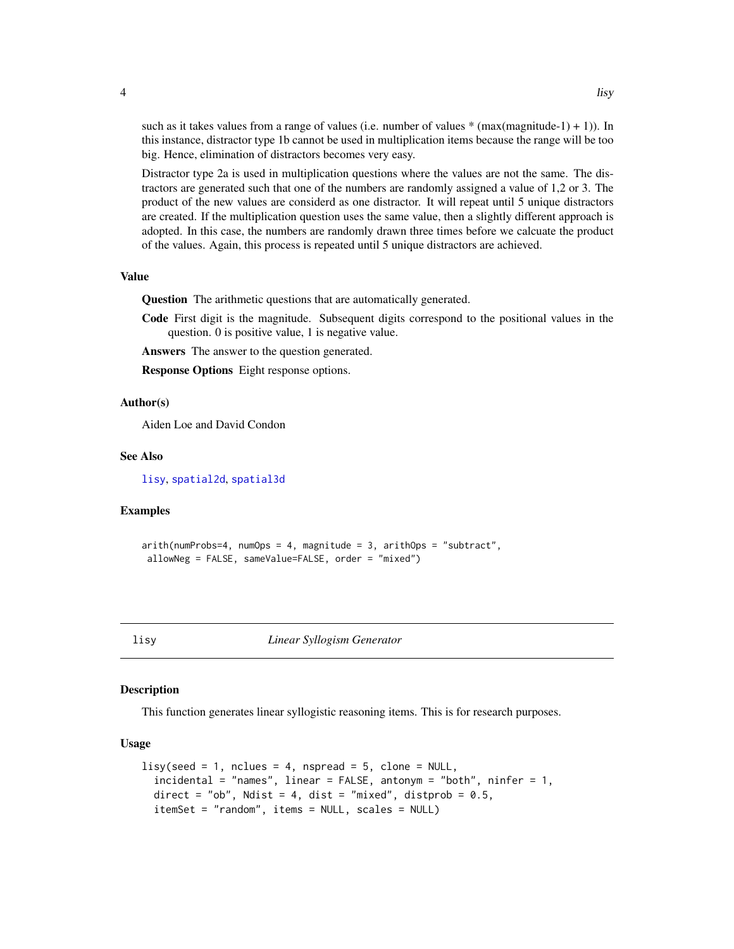such as it takes values from a range of values (i.e. number of values  $*(max(magnitude-1) + 1))$ ). In this instance, distractor type 1b cannot be used in multiplication items because the range will be too big. Hence, elimination of distractors becomes very easy.

Distractor type 2a is used in multiplication questions where the values are not the same. The distractors are generated such that one of the numbers are randomly assigned a value of 1,2 or 3. The product of the new values are considerd as one distractor. It will repeat until 5 unique distractors are created. If the multiplication question uses the same value, then a slightly different approach is adopted. In this case, the numbers are randomly drawn three times before we calcuate the product of the values. Again, this process is repeated until 5 unique distractors are achieved.

#### Value

Question The arithmetic questions that are automatically generated.

Code First digit is the magnitude. Subsequent digits correspond to the positional values in the question. 0 is positive value, 1 is negative value.

Answers The answer to the question generated.

Response Options Eight response options.

#### Author(s)

Aiden Loe and David Condon

#### See Also

[lisy](#page-3-1), [spatial2d](#page-6-1), [spatial3d](#page-8-1)

#### Examples

```
arith(numProbs=4, numOps = 4, magnitude = 3, arithOps = "subtract",
allowNeg = FALSE, sameValue=FALSE, order = "mixed")
```
<span id="page-3-1"></span>

lisy *Linear Syllogism Generator*

#### **Description**

This function generates linear syllogistic reasoning items. This is for research purposes.

#### Usage

```
lisy(seed = 1, nclues = 4, nspread = 5, clone = NULL,
  incidental = "names", linear = FALSE, antonym = "both", ninfer = 1,
  direct = "ob", Ndist = 4, dist = "mixed", distprob = 0.5,
  itemSet = "random", items = NULL, scales = NULL)
```
<span id="page-3-0"></span>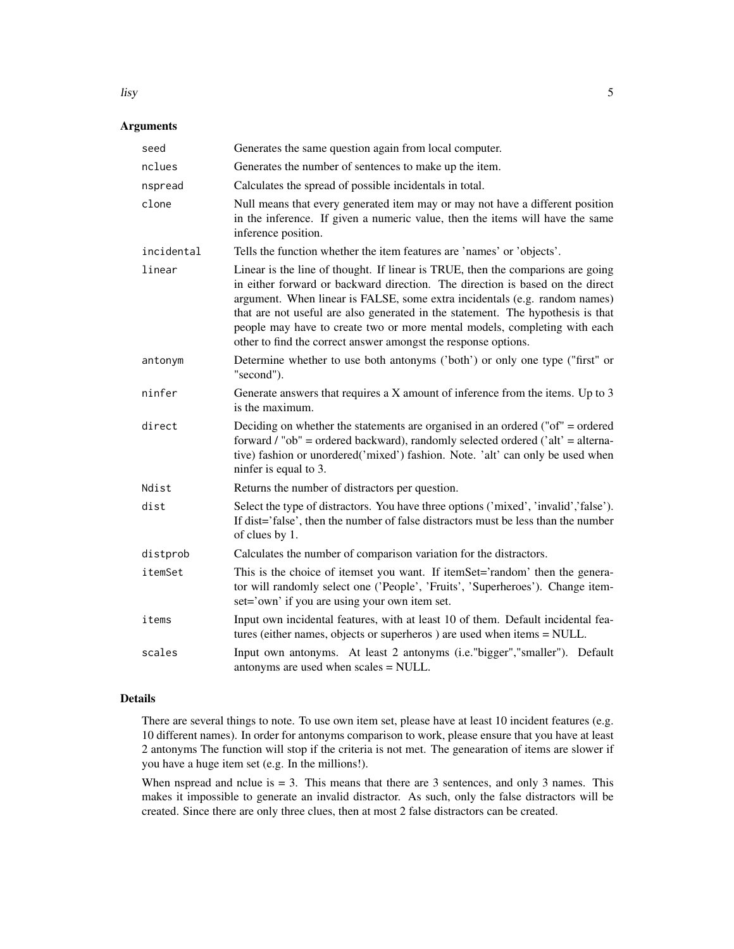#### Arguments

| seed       | Generates the same question again from local computer.                                                                                                                                                                                                                                                                                                                                                                                                                           |
|------------|----------------------------------------------------------------------------------------------------------------------------------------------------------------------------------------------------------------------------------------------------------------------------------------------------------------------------------------------------------------------------------------------------------------------------------------------------------------------------------|
| nclues     | Generates the number of sentences to make up the item.                                                                                                                                                                                                                                                                                                                                                                                                                           |
| nspread    | Calculates the spread of possible incidentals in total.                                                                                                                                                                                                                                                                                                                                                                                                                          |
| clone      | Null means that every generated item may or may not have a different position<br>in the inference. If given a numeric value, then the items will have the same<br>inference position.                                                                                                                                                                                                                                                                                            |
| incidental | Tells the function whether the item features are 'names' or 'objects'.                                                                                                                                                                                                                                                                                                                                                                                                           |
| linear     | Linear is the line of thought. If linear is TRUE, then the comparions are going<br>in either forward or backward direction. The direction is based on the direct<br>argument. When linear is FALSE, some extra incidentals (e.g. random names)<br>that are not useful are also generated in the statement. The hypothesis is that<br>people may have to create two or more mental models, completing with each<br>other to find the correct answer amongst the response options. |
| antonym    | Determine whether to use both antonyms ('both') or only one type ("first" or<br>"second").                                                                                                                                                                                                                                                                                                                                                                                       |
| ninfer     | Generate answers that requires a $X$ amount of inference from the items. Up to $3$<br>is the maximum.                                                                                                                                                                                                                                                                                                                                                                            |
| direct     | Deciding on whether the statements are organised in an ordered ("of" = ordered<br>forward / "ob" = ordered backward), randomly selected ordered ('alt' = alterna-<br>tive) fashion or unordered('mixed') fashion. Note. 'alt' can only be used when<br>ninfer is equal to 3.                                                                                                                                                                                                     |
| Ndist      | Returns the number of distractors per question.                                                                                                                                                                                                                                                                                                                                                                                                                                  |
| dist       | Select the type of distractors. You have three options ('mixed', 'invalid','false').<br>If dist='false', then the number of false distractors must be less than the number<br>of clues by 1.                                                                                                                                                                                                                                                                                     |
| distprob   | Calculates the number of comparison variation for the distractors.                                                                                                                                                                                                                                                                                                                                                                                                               |
| itemSet    | This is the choice of itemset you want. If itemSet='random' then the genera-<br>tor will randomly select one ('People', 'Fruits', 'Superheroes'). Change item-<br>set='own' if you are using your own item set.                                                                                                                                                                                                                                                                  |
| items      | Input own incidental features, with at least 10 of them. Default incidental fea-<br>tures (either names, objects or superheros) are used when items = NULL.                                                                                                                                                                                                                                                                                                                      |
| scales     | Input own antonyms. At least 2 antonyms (i.e."bigger","smaller"). Default<br>antonyms are used when scales = NULL.                                                                                                                                                                                                                                                                                                                                                               |

#### Details

There are several things to note. To use own item set, please have at least 10 incident features (e.g. 10 different names). In order for antonyms comparison to work, please ensure that you have at least 2 antonyms The function will stop if the criteria is not met. The genearation of items are slower if you have a huge item set (e.g. In the millions!).

When nspread and nclue is  $= 3$ . This means that there are 3 sentences, and only 3 names. This makes it impossible to generate an invalid distractor. As such, only the false distractors will be created. Since there are only three clues, then at most 2 false distractors can be created.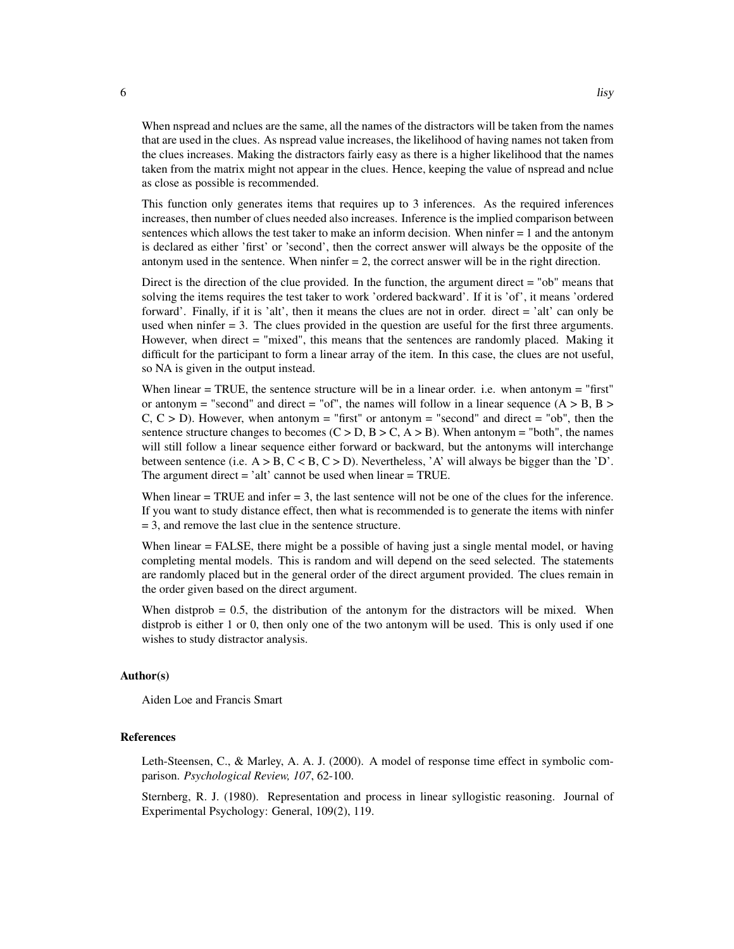When nspread and nclues are the same, all the names of the distractors will be taken from the names that are used in the clues. As nspread value increases, the likelihood of having names not taken from the clues increases. Making the distractors fairly easy as there is a higher likelihood that the names taken from the matrix might not appear in the clues. Hence, keeping the value of nspread and nclue as close as possible is recommended.

This function only generates items that requires up to 3 inferences. As the required inferences increases, then number of clues needed also increases. Inference is the implied comparison between sentences which allows the test taker to make an inform decision. When ninfer = 1 and the antonym is declared as either 'first' or 'second', then the correct answer will always be the opposite of the antonym used in the sentence. When  $n$  infer  $= 2$ , the correct answer will be in the right direction.

Direct is the direction of the clue provided. In the function, the argument direct = "ob" means that solving the items requires the test taker to work 'ordered backward'. If it is 'of', it means 'ordered forward'. Finally, if it is 'alt', then it means the clues are not in order. direct = 'alt' can only be used when ninfer  $= 3$ . The clues provided in the question are useful for the first three arguments. However, when direct = "mixed", this means that the sentences are randomly placed. Making it difficult for the participant to form a linear array of the item. In this case, the clues are not useful, so NA is given in the output instead.

When linear = TRUE, the sentence structure will be in a linear order. i.e. when antonym = "first" or antonym = "second" and direct = "of", the names will follow in a linear sequence  $(A > B, B >$  $C, C > D$ ). However, when antonym = "first" or antonym = "second" and direct = "ob", then the sentence structure changes to becomes  $(C > D, B > C, A > B)$ . When antonym = "both", the names will still follow a linear sequence either forward or backward, but the antonyms will interchange between sentence (i.e.  $A > B$ ,  $C < B$ ,  $C > D$ ). Nevertheless, 'A' will always be bigger than the 'D'. The argument direct = 'alt' cannot be used when linear = TRUE.

When linear  $=$  TRUE and infer  $=$  3, the last sentence will not be one of the clues for the inference. If you want to study distance effect, then what is recommended is to generate the items with ninfer = 3, and remove the last clue in the sentence structure.

When linear = FALSE, there might be a possible of having just a single mental model, or having completing mental models. This is random and will depend on the seed selected. The statements are randomly placed but in the general order of the direct argument provided. The clues remain in the order given based on the direct argument.

When distprob  $= 0.5$ , the distribution of the antonym for the distractors will be mixed. When distprob is either 1 or 0, then only one of the two antonym will be used. This is only used if one wishes to study distractor analysis.

#### Author(s)

Aiden Loe and Francis Smart

#### References

Leth-Steensen, C., & Marley, A. A. J. (2000). A model of response time effect in symbolic comparison. *Psychological Review, 107*, 62-100.

Sternberg, R. J. (1980). Representation and process in linear syllogistic reasoning. Journal of Experimental Psychology: General, 109(2), 119.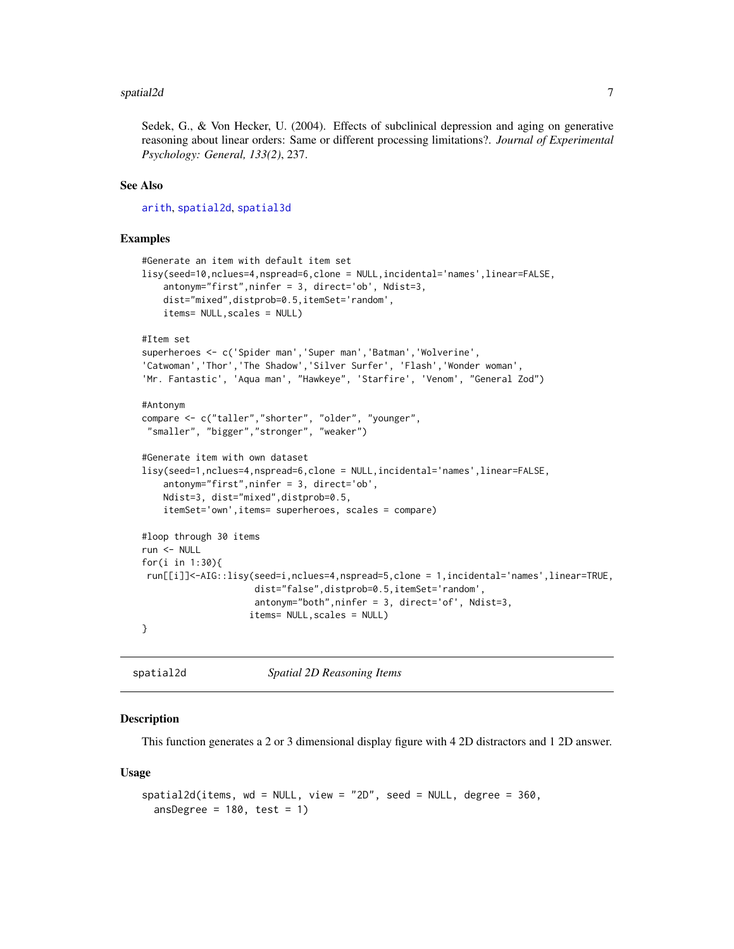#### <span id="page-6-0"></span>spatial2d 7 and 7 and 7 and 7 and 7 and 7 and 7 and 7 and 7 and 7 and 7 and 7 and 7 and 7 and 7 and 7 and 7 and 7 and 7 and 7 and 7 and 7 and 7 and 7 and 7 and 7 and 7 and 7 and 7 and 7 and 7 and 7 and 7 and 7 and 7 and 7

Sedek, G., & Von Hecker, U. (2004). Effects of subclinical depression and aging on generative reasoning about linear orders: Same or different processing limitations?. *Journal of Experimental Psychology: General, 133(2)*, 237.

#### See Also

[arith](#page-2-1), [spatial2d](#page-6-1), [spatial3d](#page-8-1)

#### Examples

```
#Generate an item with default item set
lisy(seed=10,nclues=4,nspread=6,clone = NULL,incidental='names',linear=FALSE,
    antonym="first",ninfer = 3, direct='ob', Ndist=3,
    dist="mixed",distprob=0.5,itemSet='random',
    items= NULL,scales = NULL)
#Item set
superheroes <- c('Spider man','Super man','Batman','Wolverine',
'Catwoman','Thor','The Shadow','Silver Surfer', 'Flash','Wonder woman',
'Mr. Fantastic', 'Aqua man', "Hawkeye", 'Starfire', 'Venom', "General Zod")
#Antonym
compare <- c("taller","shorter", "older", "younger",
 "smaller", "bigger","stronger", "weaker")
#Generate item with own dataset
lisy(seed=1,nclues=4,nspread=6,clone = NULL,incidental='names',linear=FALSE,
   antonym="first",ninfer = 3, direct='ob',
   Ndist=3, dist="mixed",distprob=0.5,
   itemSet='own',items= superheroes, scales = compare)
#loop through 30 items
run <- NULL
for(i in 1:30){
run[[i]]<-AIG::lisy(seed=i,nclues=4,nspread=5,clone = 1,incidental='names',linear=TRUE,
                     dist="false",distprob=0.5,itemSet='random',
                     antonym="both",ninfer = 3, direct='of', Ndist=3,
                    items= NULL,scales = NULL)
}
```
<span id="page-6-1"></span>spatial2d *Spatial 2D Reasoning Items*

#### Description

This function generates a 2 or 3 dimensional display figure with 4 2D distractors and 1 2D answer.

#### Usage

```
spatial2d(items, wd = NULL, view = "2D", seed = NULL, degree = 360,
 ansDegree = 180, test = 1)
```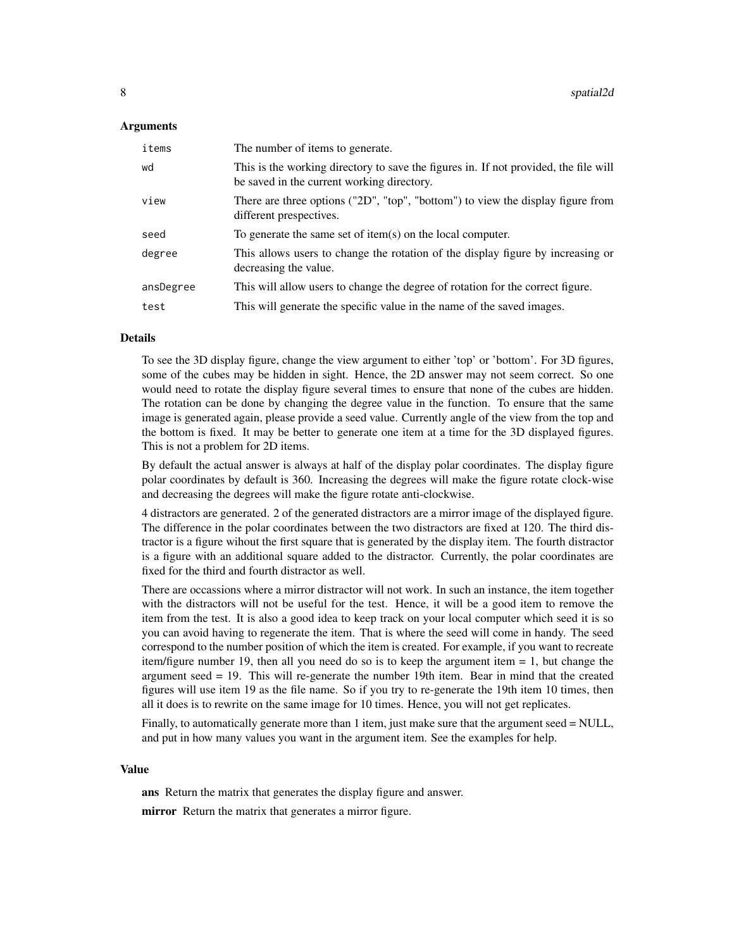#### Arguments

| items     | The number of items to generate.                                                                                                   |
|-----------|------------------------------------------------------------------------------------------------------------------------------------|
| wd        | This is the working directory to save the figures in. If not provided, the file will<br>be saved in the current working directory. |
| view      | There are three options ( $"2D"$ , $"top"$ , $"bottom"$ ) to view the display figure from<br>different prespectives.               |
| seed      | To generate the same set of item $(s)$ on the local computer.                                                                      |
| degree    | This allows users to change the rotation of the display figure by increasing or<br>decreasing the value.                           |
| ansDegree | This will allow users to change the degree of rotation for the correct figure.                                                     |
| test      | This will generate the specific value in the name of the saved images.                                                             |

#### Details

To see the 3D display figure, change the view argument to either 'top' or 'bottom'. For 3D figures, some of the cubes may be hidden in sight. Hence, the 2D answer may not seem correct. So one would need to rotate the display figure several times to ensure that none of the cubes are hidden. The rotation can be done by changing the degree value in the function. To ensure that the same image is generated again, please provide a seed value. Currently angle of the view from the top and the bottom is fixed. It may be better to generate one item at a time for the 3D displayed figures. This is not a problem for 2D items.

By default the actual answer is always at half of the display polar coordinates. The display figure polar coordinates by default is 360. Increasing the degrees will make the figure rotate clock-wise and decreasing the degrees will make the figure rotate anti-clockwise.

4 distractors are generated. 2 of the generated distractors are a mirror image of the displayed figure. The difference in the polar coordinates between the two distractors are fixed at 120. The third distractor is a figure wihout the first square that is generated by the display item. The fourth distractor is a figure with an additional square added to the distractor. Currently, the polar coordinates are fixed for the third and fourth distractor as well.

There are occassions where a mirror distractor will not work. In such an instance, the item together with the distractors will not be useful for the test. Hence, it will be a good item to remove the item from the test. It is also a good idea to keep track on your local computer which seed it is so you can avoid having to regenerate the item. That is where the seed will come in handy. The seed correspond to the number position of which the item is created. For example, if you want to recreate item/figure number 19, then all you need do so is to keep the argument item  $= 1$ , but change the argument seed = 19. This will re-generate the number 19th item. Bear in mind that the created figures will use item 19 as the file name. So if you try to re-generate the 19th item 10 times, then all it does is to rewrite on the same image for 10 times. Hence, you will not get replicates.

Finally, to automatically generate more than 1 item, just make sure that the argument seed = NULL, and put in how many values you want in the argument item. See the examples for help.

#### Value

ans Return the matrix that generates the display figure and answer. mirror Return the matrix that generates a mirror figure.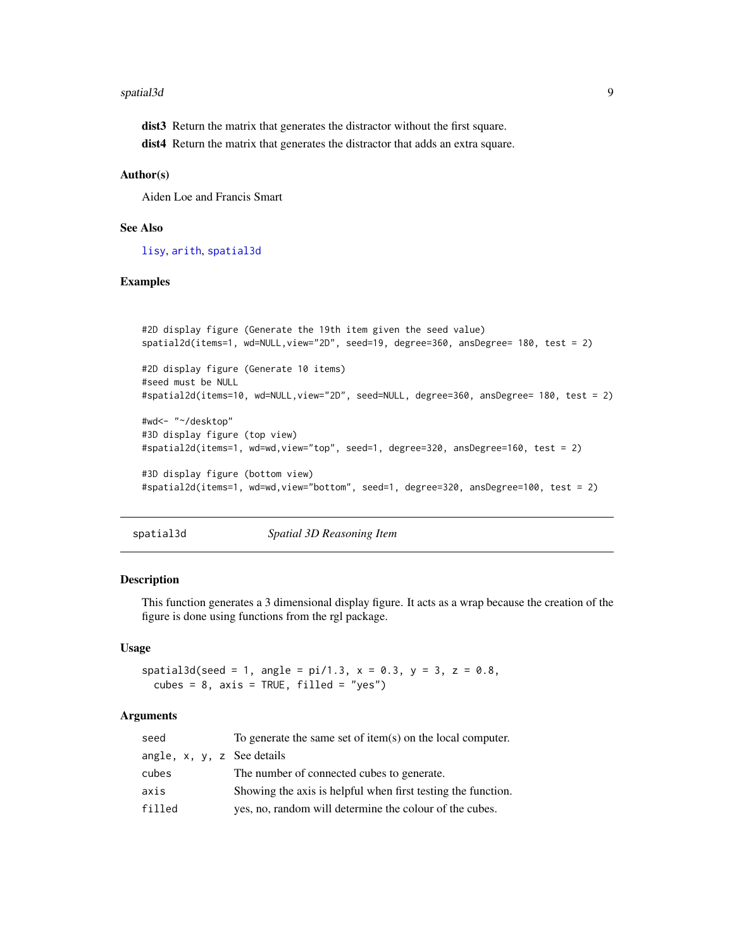#### <span id="page-8-0"></span>spatial3d 9

dist3 Return the matrix that generates the distractor without the first square.

dist4 Return the matrix that generates the distractor that adds an extra square.

#### Author(s)

Aiden Loe and Francis Smart

#### See Also

[lisy](#page-3-1), [arith](#page-2-1), [spatial3d](#page-8-1)

#### Examples

```
#2D display figure (Generate the 19th item given the seed value)
spatial2d(items=1, wd=NULL,view="2D", seed=19, degree=360, ansDegree= 180, test = 2)
#2D display figure (Generate 10 items)
#seed must be NULL
#spatial2d(items=10, wd=NULL,view="2D", seed=NULL, degree=360, ansDegree= 180, test = 2)
#wd<- "~/desktop"
#3D display figure (top view)
#spatial2d(items=1, wd=wd,view="top", seed=1, degree=320, ansDegree=160, test = 2)
#3D display figure (bottom view)
#spatial2d(items=1, wd=wd,view="bottom", seed=1, degree=320, ansDegree=100, test = 2)
```
<span id="page-8-1"></span>spatial3d *Spatial 3D Reasoning Item*

#### Description

This function generates a 3 dimensional display figure. It acts as a wrap because the creation of the figure is done using functions from the rgl package.

#### Usage

 $spatial3d(seed = 1, angle = pi/1.3, x = 0.3, y = 3, z = 0.8,$  $cubes = 8$ ,  $axis = TRUE$ ,  $filled = "yes")$ 

#### Arguments

| seed                       | To generate the same set of item(s) on the local computer.   |
|----------------------------|--------------------------------------------------------------|
| angle, x, y, z See details |                                                              |
| cubes                      | The number of connected cubes to generate.                   |
| axis                       | Showing the axis is helpful when first testing the function. |
| filled                     | yes, no, random will determine the colour of the cubes.      |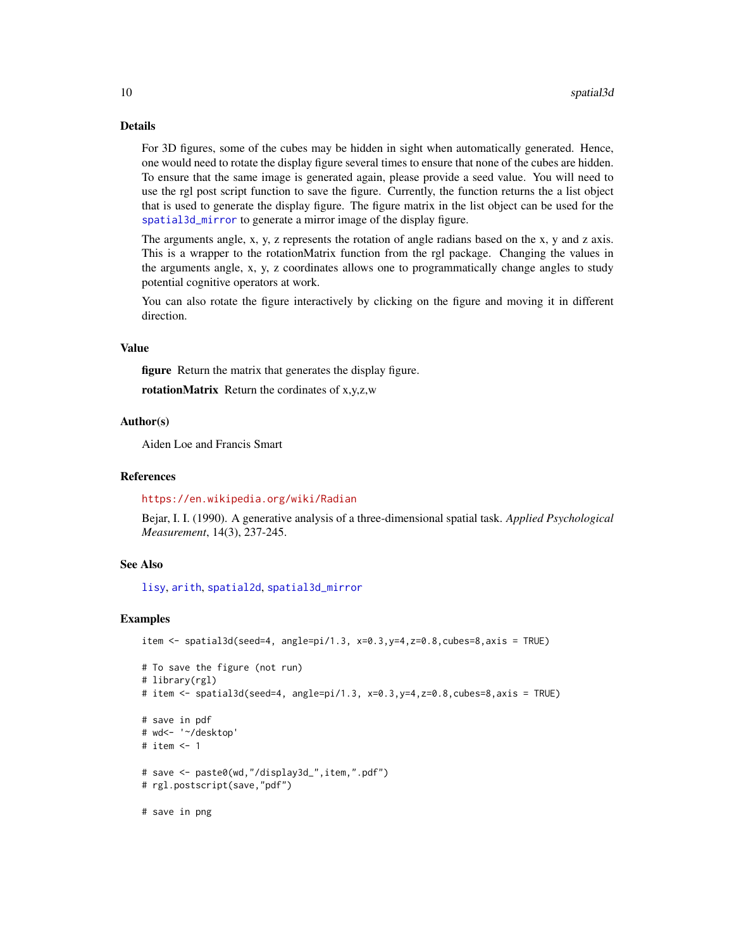#### Details

For 3D figures, some of the cubes may be hidden in sight when automatically generated. Hence, one would need to rotate the display figure several times to ensure that none of the cubes are hidden. To ensure that the same image is generated again, please provide a seed value. You will need to use the rgl post script function to save the figure. Currently, the function returns the a list object that is used to generate the display figure. The figure matrix in the list object can be used for the [spatial3d\\_mirror](#page-11-1) to generate a mirror image of the display figure.

The arguments angle, x, y, z represents the rotation of angle radians based on the x, y and z axis. This is a wrapper to the rotationMatrix function from the rgl package. Changing the values in the arguments angle, x, y, z coordinates allows one to programmatically change angles to study potential cognitive operators at work.

You can also rotate the figure interactively by clicking on the figure and moving it in different direction.

#### Value

figure Return the matrix that generates the display figure. rotationMatrix Return the cordinates of x,y,z,w

#### Author(s)

Aiden Loe and Francis Smart

#### References

#### <https://en.wikipedia.org/wiki/Radian>

Bejar, I. I. (1990). A generative analysis of a three-dimensional spatial task. *Applied Psychological Measurement*, 14(3), 237-245.

#### See Also

[lisy](#page-3-1), [arith](#page-2-1), [spatial2d](#page-6-1), [spatial3d\\_mirror](#page-11-1)

#### Examples

```
item \le spatial3d(seed=4, angle=pi/1.3, x=0.3,y=4,z=0.8,cubes=8,axis = TRUE)
```

```
# To save the figure (not run)
# library(rgl)
# item <- spatial3d(seed=4, angle=pi/1.3, x=0.3,y=4,z=0.8,cubes=8,axis = TRUE)
# save in pdf
# wd<- '~/desktop'
# item <- 1
# save <- paste0(wd,"/display3d_",item,".pdf")
# rgl.postscript(save,"pdf")
# save in png
```
<span id="page-9-0"></span>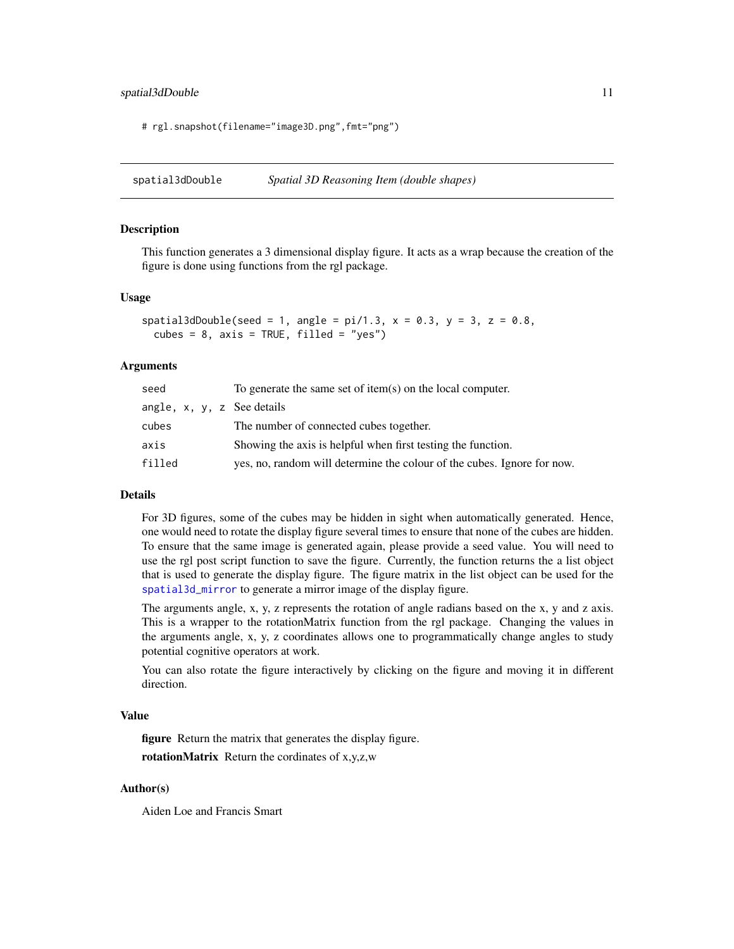#### <span id="page-10-0"></span>spatial3dDouble 11

# rgl.snapshot(filename="image3D.png",fmt="png")

<span id="page-10-1"></span>spatial3dDouble *Spatial 3D Reasoning Item (double shapes)*

#### Description

This function generates a 3 dimensional display figure. It acts as a wrap because the creation of the figure is done using functions from the rgl package.

#### Usage

```
spatial3dDouble(seed = 1, angle = pi/1.3, x = 0.3, y = 3, z = 0.8,
 cubes = 8, axis = TRUE, filled = "yes")
```
#### Arguments

| seed                               | To generate the same set of item $(s)$ on the local computer.           |
|------------------------------------|-------------------------------------------------------------------------|
| angle, $x$ , $y$ , $z$ See details |                                                                         |
| cubes                              | The number of connected cubes together.                                 |
| axis                               | Showing the axis is helpful when first testing the function.            |
| filled                             | yes, no, random will determine the colour of the cubes. Ignore for now. |

#### Details

For 3D figures, some of the cubes may be hidden in sight when automatically generated. Hence, one would need to rotate the display figure several times to ensure that none of the cubes are hidden. To ensure that the same image is generated again, please provide a seed value. You will need to use the rgl post script function to save the figure. Currently, the function returns the a list object that is used to generate the display figure. The figure matrix in the list object can be used for the [spatial3d\\_mirror](#page-11-1) to generate a mirror image of the display figure.

The arguments angle, x, y, z represents the rotation of angle radians based on the x, y and z axis. This is a wrapper to the rotationMatrix function from the rgl package. Changing the values in the arguments angle, x, y, z coordinates allows one to programmatically change angles to study potential cognitive operators at work.

You can also rotate the figure interactively by clicking on the figure and moving it in different direction.

#### Value

figure Return the matrix that generates the display figure.

rotationMatrix Return the cordinates of x,y,z,w

#### Author(s)

Aiden Loe and Francis Smart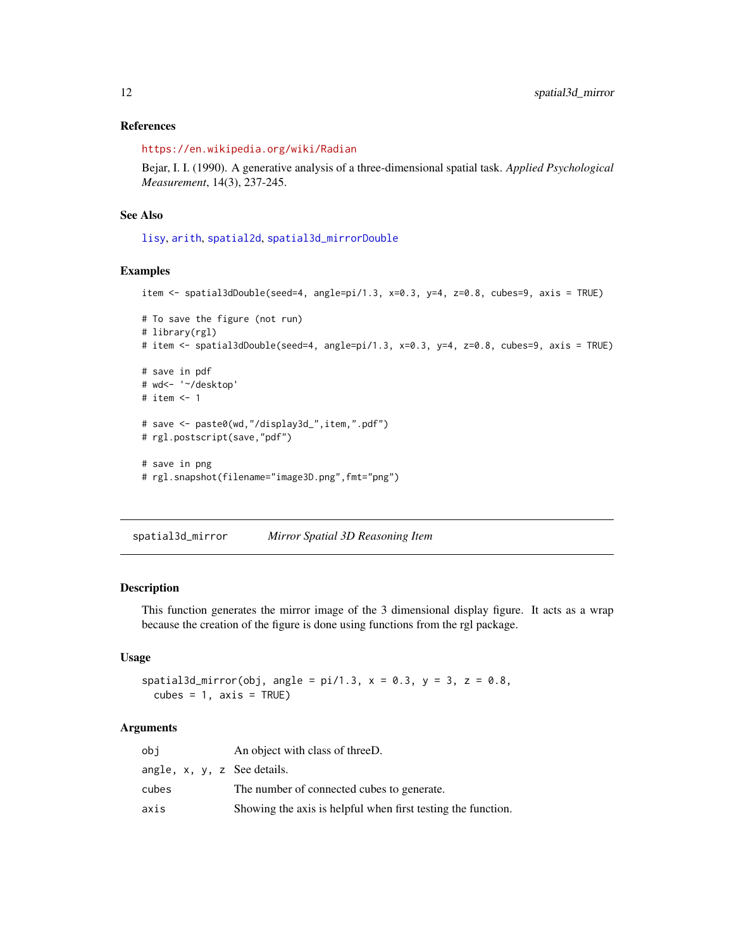#### References

<https://en.wikipedia.org/wiki/Radian>

Bejar, I. I. (1990). A generative analysis of a three-dimensional spatial task. *Applied Psychological Measurement*, 14(3), 237-245.

#### See Also

[lisy](#page-3-1), [arith](#page-2-1), [spatial2d](#page-6-1), [spatial3d\\_mirrorDouble](#page-13-1)

#### Examples

```
item <- spatial3dDouble(seed=4, angle=pi/1.3, x=0.3, y=4, z=0.8, cubes=9, axis = TRUE)
# To save the figure (not run)
# library(rgl)
# item <- spatial3dDouble(seed=4, angle=pi/1.3, x=0.3, y=4, z=0.8, cubes=9, axis = TRUE)
# save in pdf
# wd<- '~/desktop'
# item <- 1
# save <- paste0(wd,"/display3d_",item,".pdf")
# rgl.postscript(save,"pdf")
# save in png
# rgl.snapshot(filename="image3D.png",fmt="png")
```
<span id="page-11-1"></span>spatial3d\_mirror *Mirror Spatial 3D Reasoning Item*

#### Description

This function generates the mirror image of the 3 dimensional display figure. It acts as a wrap because the creation of the figure is done using functions from the rgl package.

#### Usage

```
spatial3d_mirror(obj, angle = pi/1.3, x = 0.3, y = 3, z = 0.8,
 cubes = 1, axis = TRUE
```
#### Arguments

| obi                                 | An object with class of threeD.                              |
|-------------------------------------|--------------------------------------------------------------|
| angle, $x$ , $y$ , $z$ See details. |                                                              |
| cubes                               | The number of connected cubes to generate.                   |
| axis                                | Showing the axis is helpful when first testing the function. |

<span id="page-11-0"></span>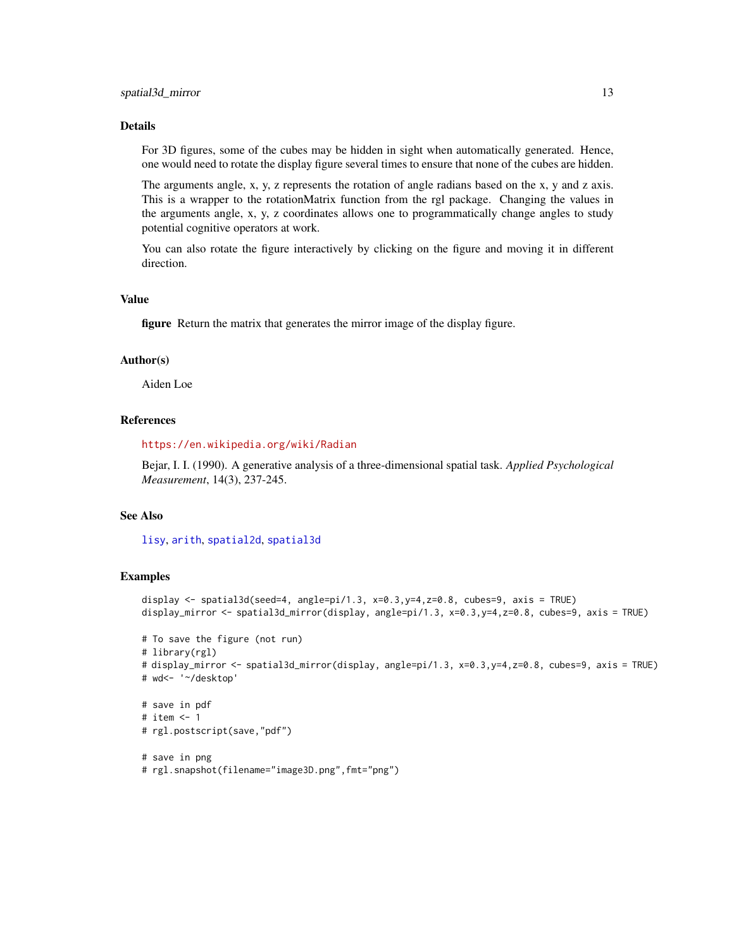#### <span id="page-12-0"></span>Details

For 3D figures, some of the cubes may be hidden in sight when automatically generated. Hence, one would need to rotate the display figure several times to ensure that none of the cubes are hidden.

The arguments angle, x, y, z represents the rotation of angle radians based on the x, y and z axis. This is a wrapper to the rotationMatrix function from the rgl package. Changing the values in the arguments angle, x, y, z coordinates allows one to programmatically change angles to study potential cognitive operators at work.

You can also rotate the figure interactively by clicking on the figure and moving it in different direction.

#### Value

figure Return the matrix that generates the mirror image of the display figure.

#### Author(s)

Aiden Loe

#### References

<https://en.wikipedia.org/wiki/Radian>

Bejar, I. I. (1990). A generative analysis of a three-dimensional spatial task. *Applied Psychological Measurement*, 14(3), 237-245.

#### See Also

[lisy](#page-3-1), [arith](#page-2-1), [spatial2d](#page-6-1), [spatial3d](#page-8-1)

#### Examples

```
display <- spatial3d(seed=4, angle=pi/1.3, x=0.3,y=4,z=0.8, cubes=9, axis = TRUE)
display_mirror <- spatial3d_mirror(display, angle=pi/1.3, x=0.3,y=4,z=0.8, cubes=9, axis = TRUE)
```

```
# To save the figure (not run)
# library(rgl)
# display_mirror <- spatial3d_mirror(display, angle=pi/1.3, x=0.3,y=4,z=0.8, cubes=9, axis = TRUE)
# wd<- '~/desktop'
```
# save in pdf # item <- 1 # rgl.postscript(save,"pdf")

# save in png # rgl.snapshot(filename="image3D.png",fmt="png")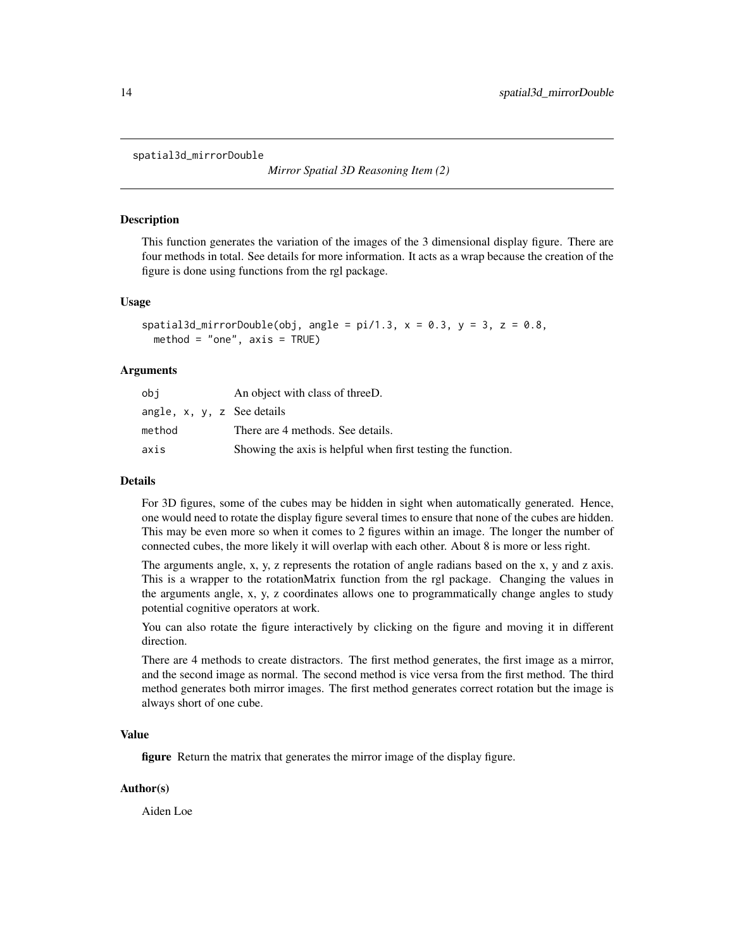<span id="page-13-1"></span><span id="page-13-0"></span>spatial3d\_mirrorDouble

*Mirror Spatial 3D Reasoning Item (2)*

#### **Description**

This function generates the variation of the images of the 3 dimensional display figure. There are four methods in total. See details for more information. It acts as a wrap because the creation of the figure is done using functions from the rgl package.

#### Usage

```
spatial3d_mirrorDouble(obj, angle = pi/1.3, x = 0.3, y = 3, z = 0.8,
 method = "one", axis = TRUE)
```
#### Arguments

| obi                                | An object with class of threeD.                              |
|------------------------------------|--------------------------------------------------------------|
| angle, $x$ , $y$ , $z$ See details |                                                              |
| method                             | There are 4 methods. See details.                            |
| axis                               | Showing the axis is helpful when first testing the function. |

#### Details

For 3D figures, some of the cubes may be hidden in sight when automatically generated. Hence, one would need to rotate the display figure several times to ensure that none of the cubes are hidden. This may be even more so when it comes to 2 figures within an image. The longer the number of connected cubes, the more likely it will overlap with each other. About 8 is more or less right.

The arguments angle, x, y, z represents the rotation of angle radians based on the x, y and z axis. This is a wrapper to the rotationMatrix function from the rgl package. Changing the values in the arguments angle, x, y, z coordinates allows one to programmatically change angles to study potential cognitive operators at work.

You can also rotate the figure interactively by clicking on the figure and moving it in different direction.

There are 4 methods to create distractors. The first method generates, the first image as a mirror, and the second image as normal. The second method is vice versa from the first method. The third method generates both mirror images. The first method generates correct rotation but the image is always short of one cube.

#### Value

figure Return the matrix that generates the mirror image of the display figure.

#### Author(s)

Aiden Loe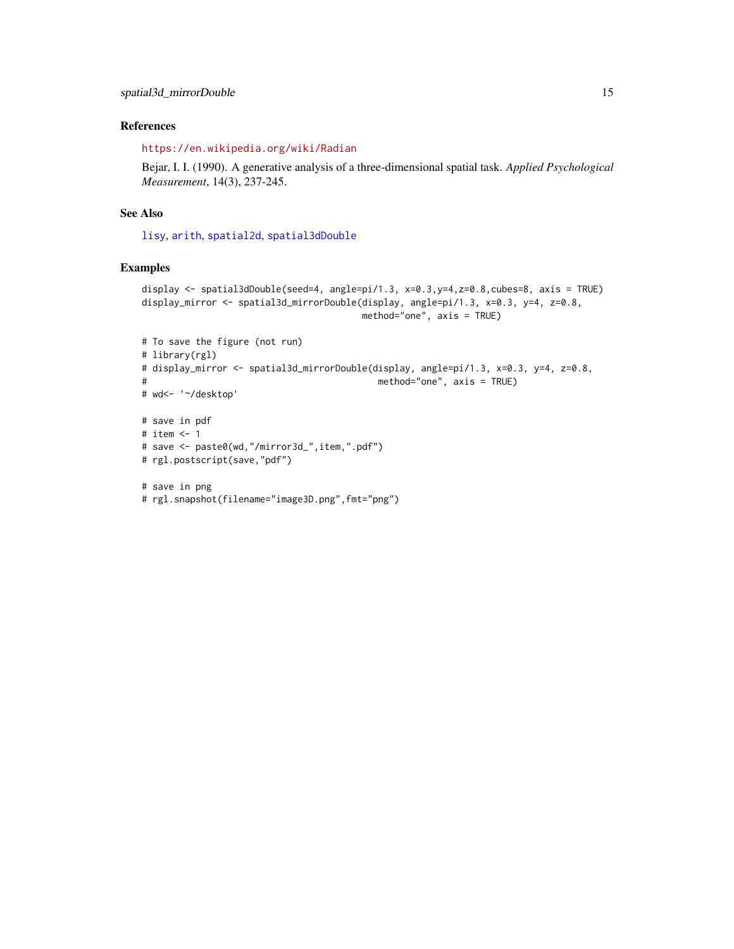#### <span id="page-14-0"></span>References

<https://en.wikipedia.org/wiki/Radian>

Bejar, I. I. (1990). A generative analysis of a three-dimensional spatial task. *Applied Psychological Measurement*, 14(3), 237-245.

#### See Also

[lisy](#page-3-1), [arith](#page-2-1), [spatial2d](#page-6-1), [spatial3dDouble](#page-10-1)

#### Examples

```
display <- spatial3dDouble(seed=4, angle=pi/1.3, x=0.3,y=4,z=0.8,cubes=8, axis = TRUE)
display_mirror <- spatial3d_mirrorDouble(display, angle=pi/1.3, x=0.3, y=4, z=0.8,
                                        method="one", axis = TRUE)
```

```
# To save the figure (not run)
# library(rgl)
# display_mirror <- spatial3d_mirrorDouble(display, angle=pi/1.3, x=0.3, y=4, z=0.8,
# method="one", axis = TRUE)
# wd<- '~/desktop'
# save in pdf
# item <- 1
# save <- paste0(wd,"/mirror3d_",item,".pdf")
# rgl.postscript(save,"pdf")
# save in png
# rgl.snapshot(filename="image3D.png",fmt="png")
```